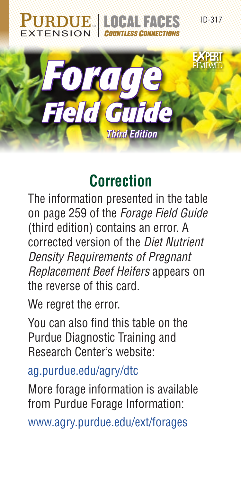

## **Correction**

The information presented in the table on page 259 of the *Forage Field Guide* (third edition) contains an error. A corrected version of the *Diet Nutrient Density Requirements of Pregnant Replacement Beef Heifers* appears on the reverse of this card.

We regret the error.

You can also find this table on the Purdue Diagnostic Training and Research Center's website:

[ag.purdue.edu/agry/dtc](http://ag.purdue.edu/agry/dtc)

More forage information is available from Purdue Forage Information:

[www.agry.purdue.edu/ext/forages](http://www.agry.purdue.edu/ext/forages)